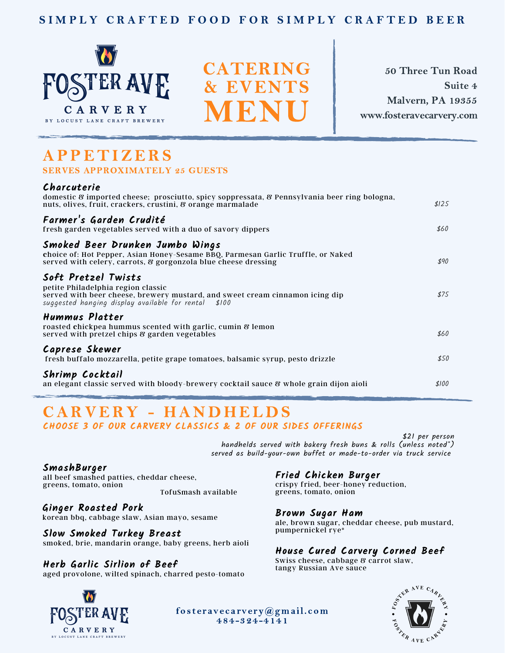### SIMPLY CRAFTED FOOD FOR SIMPLY CRAFTED BEER



CATERING & EVENTS MENU

50 Three Tun Road Suite 4 Malvern, PA 19355 www.fosteravecarvery.com

## **APPETIZERS** SERVES APPROXIMATELY 25 GUESTS

#### **Charcuterie**

| domestic & imported cheese; prosciutto, spicy soppressata, & Pennsylvania beer ring bologna,<br>nuts, olives, fruit, crackers, crustini, & orange marmalade                                       | \$125 |
|---------------------------------------------------------------------------------------------------------------------------------------------------------------------------------------------------|-------|
| Farmer's Garden Crudité<br>fresh garden vegetables served with a duo of savory dippers                                                                                                            | \$60  |
| Smoked Beer Drunken Jumbo Wings<br>choice of: Hot Pepper, Asian Honey-Sesame BBQ, Parmesan Garlic Truffle, or Naked<br>served with celery, carrots, & gorgonzola blue cheese dressing             | \$90  |
| Soft Pretzel Twists<br>petite Philadelphia region classic<br>served with beer cheese, brewery mustard, and sweet cream cinnamon icing dip<br>suggested hanging display available for rental \$100 | \$75  |
| Hummus Platter<br>roasted chickpea hummus scented with garlic, cumin & lemon<br>served with pretzel chips & garden vegetables                                                                     | \$60  |
| Caprese Skewer<br>fresh buffalo mozzarella, petite grape tomatoes, balsamic syrup, pesto drizzle                                                                                                  | \$50  |
| Shrimp Cocktail<br>an elegant classic served with bloody-brewery cocktail sauce 8 whole grain dijon aioli                                                                                         | \$100 |

# CARVERY - HANDHELDS

**CHOOSE 3 OF OUR CARVERY CLASSICS & 2 OF OUR SIDES OFFERINGS**

\$21 per person handhelds served with bakery fresh buns & rolls (unless noted\*) served as build-your-own buffet or made-to-order via truck service

**SmashBurger** all beef smashed patties, cheddar cheese, greens, tomato, onion

TofuSmash available

**Ginger Roasted Pork** korean bbq, cabbage slaw, Asian mayo, sesame **Brown Sugar Ham**

pumpernickel rye\* **Slow Smoked Turkey Breast** smoked, brie, mandarin orange, baby greens, herb aioli

**Herb Garlic Sirlion of Beef** aged provolone, wilted spinach, charred pesto-tomato

### **Fried Chicken Burger**

crispy fried, beer-honey reduction, greens, tomato, onion

ale, brown sugar, cheddar cheese, pub mustard,

### **House Cured Carvery Corned Beef**

Swiss cheese, cabbage & carrot slaw, tangy Russian Ave sauce



fos teravecarvery@gmail.com 484-324-4141

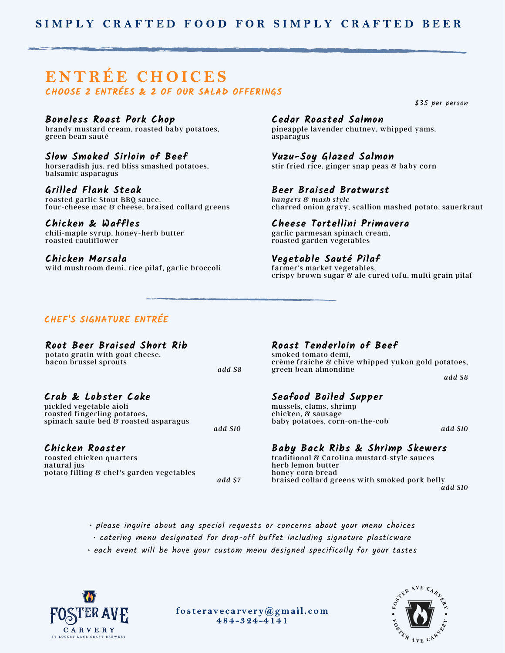## ENTRÉE CHOICES **CHOOSE 2 ENTRÉES & 2 OF OUR SALAD OFFERINGS**

#### **Boneless Roast Pork Chop**

brandy mustard cream, roasted baby potatoes, green bean sauté

#### **Slow Smoked Sirloin of Beef**

horseradish jus, red bliss smashed potatoes, balsamic asparagus

#### **Grilled Flank Steak**

roasted garlic Stout BBQ sauce, four-cheese mac & cheese, braised collard greens

#### **Chicken & Waffles**

chili-maple syrup, honey-herb butter roasted cauliflower

#### **Chicken Marsala**

wild mushroom demi, rice pilaf, garlic broccoli

#### **Cedar Roasted Salmon**

pineapple lavender chutney, whipped yams, asparagus

#### **Yuzu-Soy Glazed Salmon**

stir fried rice, ginger snap peas & baby corn

#### **Beer Braised Bratwurst**

*bangers & mash style* charred onion gravy, scallion mashed potato, sauerkraut

#### **Cheese Tortellini Primavera**

garlic parmesan spinach cream, roasted garden vegetables

#### **Vegetable Sauté Pilaf**

farmer's market vegetables, crispy brown sugar & ale cured tofu, multi grain pilaf

#### **CHEF'S SIGNATURE ENTRÉE**

#### **Root Beer Braised Short Rib**

potato gratin with goat cheese, bacon brussel sprouts

#### **Crab & Lobster Cake**

pickled vegetable aioli roasted fingerling potatoes, spinach saute bed & roasted asparagus

#### **Chicken Roaster**

roasted chicken quarters natural jus potato filling & chef's garden vegetables **Roast Tenderloin of Beef**

smoked tomato demi, crème fraiche & chive whipped yukon gold potatoes, green bean almondine *add \$8*

#### **Seafood Boiled Supper**

mussels, clams, shrimp chicken, & sausage baby potatoes, corn-on-the-cob

*add \$10*

\$35 per person

#### **Baby Back Ribs & Shrimp Skewers**

traditional & Carolina mustard-style sauces herb lemon butter honey corn bread braised collard greens with smoked pork belly *add \$10*

- please inquire about any special requests or concerns about your menu choices
- catering menu designated for drop-off buffet including signature plasticware
- each event will be have your custom menu designed specifically for your tastes



fos teravecarvery@gmail.com 484-324-4141



*add \$10*

*add \$8*

*add \$7*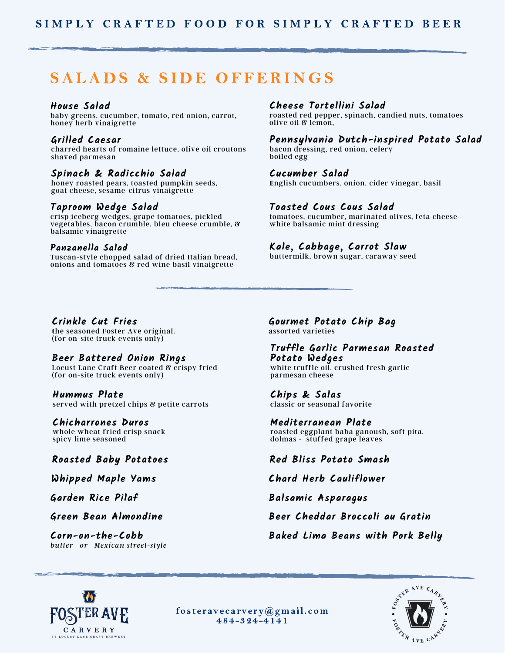# SALADS & SIDE OFFERINGS

#### **House Salad**

baby greens, cucumber, tomato, red onion, carrot, honey herb vinaigrette

#### **Grilled Caesar**

charred hearts of romaine lettuce, olive oil croutons shaved parmesan

#### **Spinach & Radicchio Salad**

honey roasted pears, toasted pumpkin seeds, goat cheese, sesame-citrus vinaigrette

#### **Taproom Wedge Salad**

crisp iceberg wedges, grape tomatoes, pickled vegetables, bacon crumble, bleu cheese crumble, & balsamic vinaigrette

#### **Panzanella Salad**

Tuscan-style chopped salad of dried Italian bread, onions and tomatoes & red wine basil vinaigrette

#### **Cheese Tortellini Salad**

roasted red pepper, spinach, candied nuts, tomatoes olive oil & lemon,

**Pennsylvania Dutch-inspired Potato Salad**

bacon dressing, red onion, celery boiled egg

**Cucumber Salad E**nglish cucumbers, onion, cider vinegar, basil

#### **Toasted Cous Cous Salad**

tomatoes, cucumber, marinated olives, feta cheese white balsamic mint dressing

#### **Kale, Cabbage, Carrot Slaw**

buttermilk, brown sugar, caraway seed

#### **Crinkle Cut Fries**

**t**he seasoned Foster Ave original. (for on-site truck events only)

#### **Beer Battered Onion Rings**

Locust Lane Craft Beer coated & crispy fried (for on-site truck events only)

#### **Hummus Plate** served with pretzel chips & petite carrots

#### **Chicharrones Duros**

whole wheat fried crisp snack spicy lime seasoned

**Corn-on-the-Cobb** *butter or Mexican street-style* **Gourmet Potato Chip Bag** assorted varieties

**Truffle Garlic Parmesan Roasted Potato Wedges** white truffle oil. crushed fresh garlic parmesan cheese

**Chips & Salas** classic or seasonal favorite

**Mediterranean Plate** roasted eggplant baba ganoush, soft pita, dolmas - stuffed grape leaves

#### **Roasted Baby Potatoes Red Bliss Potato Smash**

**Whipped Maple Yams Chard Herb Cauliflower**

**Garden Rice Pilaf Balsamic Asparagus**

**Green Bean Almondine Beer Cheddar Broccoli au Gratin**

**Baked Lima Beans with Pork Belly**



fos teravecarvery@gmail.com 484-324-4141